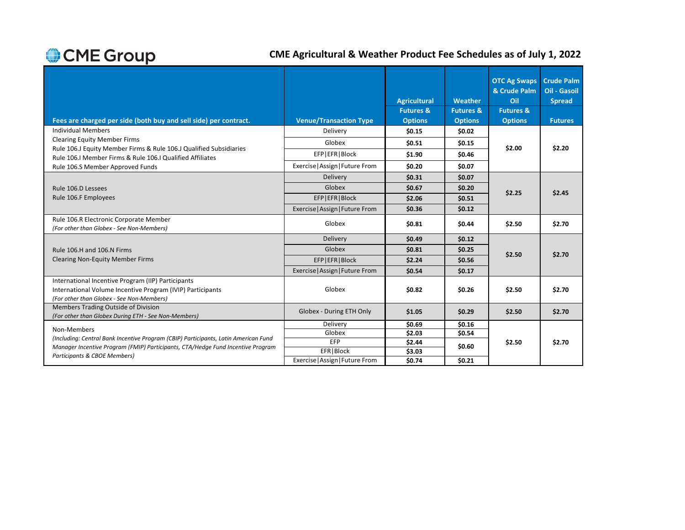## **CME Agricultural & Weather Product Fee Schedules as of July 1, 2022**

|                                                                                                                                                               |                                 | <b>Agricultural</b>  | Weather              | <b>OTC Ag Swaps</b><br>& Crude Palm<br>Oil | <b>Crude Palm</b><br><b>Oil - Gasoil</b><br><b>Spread</b> |
|---------------------------------------------------------------------------------------------------------------------------------------------------------------|---------------------------------|----------------------|----------------------|--------------------------------------------|-----------------------------------------------------------|
|                                                                                                                                                               |                                 | <b>Futures &amp;</b> | <b>Futures &amp;</b> | <b>Futures &amp;</b>                       |                                                           |
| Fees are charged per side (both buy and sell side) per contract.                                                                                              | <b>Venue/Transaction Type</b>   | <b>Options</b>       | <b>Options</b>       | <b>Options</b>                             | <b>Futures</b>                                            |
| <b>Individual Members</b>                                                                                                                                     | Delivery                        | \$0.15               | \$0.02\$             |                                            |                                                           |
| <b>Clearing Equity Member Firms</b>                                                                                                                           | Globex                          | \$0.51               | \$0.15               |                                            |                                                           |
| Rule 106.J Equity Member Firms & Rule 106.J Qualified Subsidiaries<br>Rule 106.I Member Firms & Rule 106.I Qualified Affiliates                               | EFP EFR Block                   | \$1.90               | \$0.46               | \$2.00                                     | \$2.20                                                    |
| Rule 106.S Member Approved Funds                                                                                                                              | Exercise   Assign   Future From | \$0.20               | \$0.07               |                                            |                                                           |
|                                                                                                                                                               | Delivery                        | \$0.31               | \$0.07               |                                            |                                                           |
| Rule 106.D Lessees                                                                                                                                            | Globex                          | \$0.67               | \$0.20               | \$2.25                                     | \$2.45                                                    |
| Rule 106.F Employees                                                                                                                                          | EFP EFR Block                   | \$2.06               | \$0.51               |                                            |                                                           |
|                                                                                                                                                               | Exercise   Assign   Future From | \$0.36               | \$0.12               |                                            |                                                           |
| Rule 106.R Electronic Corporate Member<br>(For other than Globex - See Non-Members)                                                                           | Globex                          | \$0.81               | \$0.44               | \$2.50                                     | \$2.70                                                    |
|                                                                                                                                                               | Delivery                        | \$0.49               | \$0.12               |                                            |                                                           |
| Rule 106.H and 106.N Firms                                                                                                                                    | Globex                          | \$0.81               | \$0.25               | \$2.50                                     |                                                           |
| <b>Clearing Non-Equity Member Firms</b>                                                                                                                       | EFP EFR Block                   | \$2.24               | \$0.56               |                                            | \$2.70                                                    |
|                                                                                                                                                               | Exercise   Assign   Future From | \$0.54               | \$0.17               |                                            |                                                           |
| International Incentive Program (IIP) Participants<br>International Volume Incentive Program (IVIP) Participants<br>(For other than Globex - See Non-Members) | Globex                          | \$0.82               | \$0.26               | \$2.50                                     | \$2.70                                                    |
| Members Trading Outside of Division<br>(For other than Globex During ETH - See Non-Members)                                                                   | Globex - During ETH Only        | \$1.05               | \$0.29               | \$2.50                                     | \$2.70                                                    |
| Non-Members                                                                                                                                                   | Delivery                        | \$0.69               | \$0.16               |                                            |                                                           |
| (Including: Central Bank Incentive Program (CBIP) Participants, Latin American Fund                                                                           | Globex                          | \$2.03               | \$0.54               |                                            |                                                           |
| Manager Incentive Program (FMIP) Participants, CTA/Hedge Fund Incentive Program                                                                               | EFP                             | \$2.44               | \$0.60               | \$2.50                                     | \$2.70                                                    |
| Participants & CBOE Members)                                                                                                                                  | EFR   Block                     | \$3.03               |                      |                                            |                                                           |
|                                                                                                                                                               | Exercise   Assign   Future From | \$0.74               | \$0.21               |                                            |                                                           |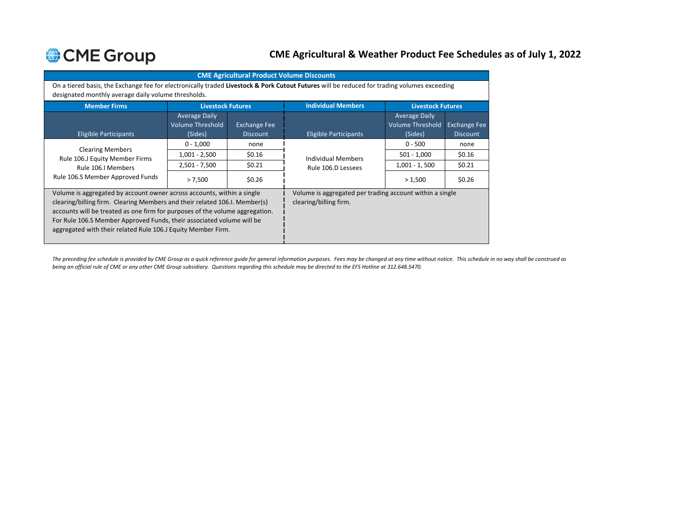## **CME Agricultural & Weather Product Fee Schedules as of July 1, 2022**

|                                                                                                                                                                                                                                                                                                                                                                               | <b>CME Agricultural Product Volume Discounts</b>                                                                                                                                                   |                                        |                              |                                                            |                                        |  |  |  |  |  |
|-------------------------------------------------------------------------------------------------------------------------------------------------------------------------------------------------------------------------------------------------------------------------------------------------------------------------------------------------------------------------------|----------------------------------------------------------------------------------------------------------------------------------------------------------------------------------------------------|----------------------------------------|------------------------------|------------------------------------------------------------|----------------------------------------|--|--|--|--|--|
|                                                                                                                                                                                                                                                                                                                                                                               | On a tiered basis, the Exchange fee for electronically traded Livestock & Pork Cutout Futures will be reduced for trading volumes exceeding<br>designated monthly average daily volume thresholds. |                                        |                              |                                                            |                                        |  |  |  |  |  |
| <b>Member Firms</b>                                                                                                                                                                                                                                                                                                                                                           | <b>Livestock Futures</b>                                                                                                                                                                           |                                        | <b>Individual Members</b>    | <b>Livestock Futures</b>                                   |                                        |  |  |  |  |  |
| <b>Eligible Participants</b>                                                                                                                                                                                                                                                                                                                                                  | <b>Average Daily</b><br><b>Volume Threshold</b><br>(Sides)                                                                                                                                         | <b>Exchange Fee</b><br><b>Discount</b> | <b>Eligible Participants</b> | <b>Average Daily</b><br><b>Volume Threshold</b><br>(Sides) | <b>Exchange Fee</b><br><b>Discount</b> |  |  |  |  |  |
|                                                                                                                                                                                                                                                                                                                                                                               | $0 - 1,000$                                                                                                                                                                                        | none                                   |                              | $0 - 500$                                                  | none                                   |  |  |  |  |  |
| <b>Clearing Members</b><br>Rule 106.J Equity Member Firms                                                                                                                                                                                                                                                                                                                     | $1,001 - 2,500$                                                                                                                                                                                    | \$0.16                                 | <b>Individual Members</b>    | $501 - 1,000$                                              | \$0.16                                 |  |  |  |  |  |
| Rule 106.I Members                                                                                                                                                                                                                                                                                                                                                            | $2,501 - 7,500$                                                                                                                                                                                    | \$0.21                                 | Rule 106.D Lessees           | $1,001 - 1,500$                                            | \$0.21                                 |  |  |  |  |  |
| Rule 106.S Member Approved Funds                                                                                                                                                                                                                                                                                                                                              | > 7,500                                                                                                                                                                                            | \$0.26                                 |                              | > 1,500                                                    | \$0.26                                 |  |  |  |  |  |
| Volume is aggregated by account owner across accounts, within a single<br>clearing/billing firm. Clearing Members and their related 106.I. Member(s)<br>accounts will be treated as one firm for purposes of the volume aggregation.<br>For Rule 106.S Member Approved Funds, their associated volume will be<br>aggregated with their related Rule 106.J Equity Member Firm. | Volume is aggregated per trading account within a single<br>clearing/billing firm.                                                                                                                 |                                        |                              |                                                            |                                        |  |  |  |  |  |

*The preceding fee schedule is provided by CME Group as a quick reference guide for general information purposes. Fees may be changed at any time without notice. This schedule in no way shall be construed as being an official rule of CME or any other CME Group subsidiary. Questions regarding this schedule may be directed to the EFS Hotline at 312.648.5470.*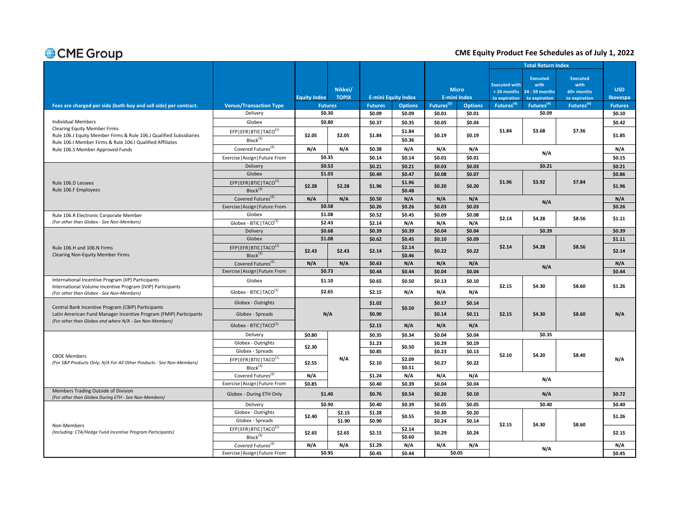### **CME Equity Product Fee Schedules as of July 1, 2022**

|                                                                                                                              |                                                                |                     |                |                |                            |                        |                     |                                     | <b>Total Return Index</b>                 |                                       |                |
|------------------------------------------------------------------------------------------------------------------------------|----------------------------------------------------------------|---------------------|----------------|----------------|----------------------------|------------------------|---------------------|-------------------------------------|-------------------------------------------|---------------------------------------|----------------|
|                                                                                                                              |                                                                |                     | Nikkei/        |                |                            |                        | <b>Micro</b>        | <b>Executed with</b><br>< 24 months | <b>Executed</b><br>with<br>24 - 59 months | <b>Executed</b><br>with<br>60+ months | <b>USD</b>     |
|                                                                                                                              |                                                                | <b>Equity Index</b> | <b>TOPIX</b>   |                | <b>E-mini Equity Index</b> |                        | <b>E-mini Index</b> | to expiration                       | to expiration                             | to expiration                         | Ibovespa       |
| Fees are charged per side (both buy and sell side) per contract.                                                             | <b>Venue/Transaction Type</b>                                  |                     | <b>Futures</b> | <b>Futures</b> | <b>Options</b>             | Futures <sup>(5)</sup> | <b>Options</b>      | Futures <sup>(4)</sup>              | Futures <sup>(4)</sup>                    | Futures <sup>(4)</sup>                | <b>Futures</b> |
|                                                                                                                              | Delivery                                                       | \$0.30              |                | \$0.09         | \$0.09                     | \$0.01                 | \$0.01              |                                     | \$0.09                                    |                                       | \$0.10         |
| <b>Individual Members</b><br><b>Clearing Equity Member Firms</b>                                                             | Globex                                                         | \$0.80              |                | \$0.37         | \$0.35                     | \$0.05                 | \$0.04              |                                     |                                           |                                       | \$0.42         |
| Rule 106.J Equity Member Firms & Rule 106.J Qualified Subsidiaries                                                           | EFP   EFR   BTIC   TACO <sup>(1)</sup>                         | \$2.05              | \$2.05         | \$1.84         | \$1.84                     | \$0.19                 | \$0.19              | \$1.84                              | \$3.68                                    | \$7.36                                | \$1.85         |
| Rule 106.I Member Firms & Rule 106.I Qualified Affiliates                                                                    | $Block^{(3)}$                                                  |                     |                |                | \$0.36                     |                        |                     |                                     |                                           |                                       |                |
| Rule 106.S Member Approved Funds                                                                                             | Covered Futures <sup>(2)</sup>                                 | N/A                 | N/A            | \$0.38         | N/A                        | N/A                    | N/A                 |                                     | N/A                                       |                                       | N/A            |
|                                                                                                                              | Exercise   Assign   Future From                                | \$0.35              |                | \$0.14         | \$0.14                     | \$0.01                 | \$0.01              |                                     |                                           |                                       | \$0.15         |
|                                                                                                                              | Delivery                                                       | \$0.53              |                | \$0.21         | \$0.21                     | \$0.03                 | \$0.03\$            |                                     | \$0.21                                    |                                       | \$0.21         |
|                                                                                                                              | Globex                                                         | \$1.03              |                | \$0.49         | \$0.47                     | \$0.08                 | \$0.07              |                                     |                                           |                                       | \$0.86         |
| Rule 106.D Lessees                                                                                                           | EFP   EFR   BTIC   TACO <sup>(1)</sup>                         | \$2.28              | \$2.28         | \$1.96         | \$1.96                     | \$0.20                 | \$0.20              | \$1.96                              | \$3.92                                    | \$7.84                                | \$1.96         |
| Rule 106.F Employees                                                                                                         | Block <sup>(3)</sup>                                           |                     |                |                | \$0.48                     |                        |                     |                                     |                                           |                                       |                |
|                                                                                                                              | Covered Futures <sup>(2)</sup>                                 | N/A                 | N/A            | \$0.50         | N/A                        | N/A                    | N/A                 |                                     | N/A                                       |                                       | N/A            |
|                                                                                                                              | Exercise   Assign   Future From                                | \$0.58              |                | \$0.26         | \$0.26                     | \$0.03                 | \$0.03\$            |                                     |                                           |                                       | \$0.26         |
| Rule 106.R Electronic Corporate Member                                                                                       | Globex                                                         | \$1.08              |                | \$0.52         | \$0.45                     | \$0.09                 | \$0.08              | \$2.14                              | \$4.28                                    | \$8.56                                | \$1.11         |
| (For other than Globex - See Non-Members)                                                                                    | Globex - BTIC   TACO <sup>(1)</sup>                            | \$2.43              |                | \$2.14         | N/A                        | N/A                    | N/A                 |                                     |                                           |                                       |                |
|                                                                                                                              | Delivery                                                       | \$0.68              |                | \$0.39         | \$0.39                     | \$0.04                 | \$0.04              |                                     | \$0.39                                    |                                       | \$0.39         |
|                                                                                                                              | Globex                                                         | \$1.08              |                | \$0.62         | \$0.45                     | \$0.10                 | \$0.09              |                                     |                                           |                                       | \$1.11         |
| Rule 106.H and 106.N Firms<br><b>Clearing Non-Equity Member Firms</b>                                                        | EFP EFR BTIC TACO <sup>(1)</sup><br>Block <sup>(3)</sup>       | \$2.43              | \$2.43         | \$2.14         | \$2.14<br>\$0.46           | \$0.22                 | \$0.22              | \$2.14                              | \$4.28                                    | \$8.56                                | \$2.14         |
|                                                                                                                              | Covered Futures <sup>(2)</sup>                                 | N/A                 | N/A            | \$0.63         | N/A                        | N/A                    | N/A                 |                                     | N/A                                       |                                       | N/A            |
|                                                                                                                              | Exercise   Assign   Future From                                | \$0.73              |                | \$0.44         | \$0.44                     | \$0.04                 | \$0.04\$            |                                     |                                           |                                       | \$0.44         |
| International Incentive Program (IIP) Participants<br>International Volume Incentive Program (IVIP) Participants             | Globex                                                         | \$1.10              |                | \$0.65         | \$0.50                     | \$0.13                 | \$0.10              | \$2.15                              | \$4.30                                    | \$8.60                                | \$1.26         |
| (For other than Globex - See Non-Members)                                                                                    | Globex - BTIC   TACO <sup>(1)</sup>                            | \$2.65              |                | \$2.15         | N/A                        | N/A                    | N/A                 |                                     |                                           |                                       |                |
| Central Bank Incentive Program (CBIP) Participants                                                                           | Globex - Outrights                                             |                     |                | \$1.02         | \$0.50                     | \$0.17                 | \$0.14              |                                     |                                           |                                       |                |
| Latin American Fund Manager Incentive Program (FMIP) Participants<br>(For other than Globex and where N/A - See Non-Members) | Globex - Spreads                                               |                     | N/A            | \$0.90         |                            | \$0.14                 | \$0.11              | \$2.15                              | \$4.30                                    | \$8.60                                | N/A            |
|                                                                                                                              | Globex - BTIC   TACO $(1)$                                     |                     |                | \$2.15         | N/A                        | N/A                    | N/A                 |                                     |                                           |                                       |                |
|                                                                                                                              | Delivery                                                       | \$0.80              |                | \$0.35         | \$0.34                     | \$0.04                 | \$0.04              |                                     | \$0.35                                    |                                       |                |
|                                                                                                                              | Globex - Outrights                                             | \$2.30              |                | \$1.23         | \$0.50                     | \$0.29                 | \$0.19              |                                     |                                           |                                       |                |
| <b>CBOE Members</b>                                                                                                          | Globex - Spreads                                               |                     |                | \$0.85         |                            | \$0.23                 | \$0.13              | \$2.10                              | \$4.20                                    | \$8.40                                |                |
| (For S&P Products Only; N/A For All Other Products - See Non-Members)                                                        | EFP   EFR   BTIC   TACO <sup>(1)</sup><br>Block <sup>(3)</sup> | \$2.55              | N/A            | \$2.10         | \$2.09<br>\$0.51           | \$0.27                 | \$0.22\$            |                                     |                                           |                                       | N/A            |
|                                                                                                                              | Covered Futures <sup>(2)</sup>                                 | N/A                 |                | \$1.24         | N/A                        | N/A                    | N/A                 |                                     |                                           |                                       |                |
|                                                                                                                              | Exercise   Assign   Future From                                | \$0.85              |                | \$0.40         | \$0.39                     | \$0.04                 | \$0.04              |                                     | N/A                                       |                                       |                |
| Members Trading Outside of Division<br>(For other than Globex During ETH - See Non-Members)                                  | Globex - During ETH Only                                       | \$1.40              |                | \$0.76         | \$0.54                     | \$0.20                 | \$0.10              |                                     | N/A                                       |                                       | \$0.72         |
|                                                                                                                              | Delivery                                                       | \$0.90              |                | \$0.40         | \$0.39                     | \$0.05                 | \$0.05              |                                     | \$0.40                                    |                                       | \$0.40         |
|                                                                                                                              | Globex - Outrights                                             | \$2.40              | \$2.15         | \$1.28         | \$0.55                     | \$0.30                 | \$0.20              |                                     |                                           |                                       | \$1.26         |
|                                                                                                                              | Globex - Spreads                                               |                     | \$1.90         | \$0.90         |                            | \$0.24                 | \$0.14              | \$2.15                              | \$4.30                                    | \$8.60                                |                |
| Non-Members<br>(Including: CTA/Hedge Fund Incentive Program Participants)                                                    | EFP   EFR   BTIC   TACO <sup>(1)</sup><br>Block <sup>(3)</sup> | \$2.65              | \$2.65         | \$2.15         | \$2.14<br>\$0.60           | \$0.29                 | \$0.24              |                                     |                                           |                                       | \$2.15         |
|                                                                                                                              | Covered Futures <sup>(2)</sup>                                 | N/A                 | N/A            | \$1.29         | N/A                        | N/A                    | N/A                 |                                     |                                           |                                       | N/A            |
|                                                                                                                              | Exercise   Assign   Future From                                | \$0.95              |                | \$0.45         | \$0.44                     |                        | \$0.05              |                                     | N/A                                       |                                       | \$0.45         |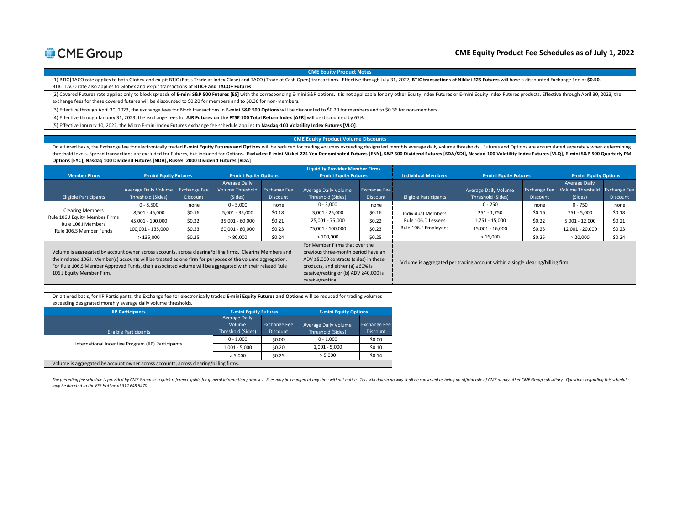

#### **CME Equity Product Fee Schedules as of July 1, 2022**

**CME Equity Product Notes**

(1) BTIC | TACO rate applies to both Globex and ex-pit BTIC (Basis Trade at Index Close) and TACO (Trade at Cash Open) transactions. Effective through July 31, 2022, BTIC transactions of Nikkei 225 Futures will have a disc BTIC|TACO rate also applies to Globex and ex-pit transactions of **BTIC+ and TACO+ Futures**.

(2) Covered Futures rate applies only to block spreads of E-mini S&P 500 Futures [ES] with the corresponding E-mini S&P options. It is not applicable for any other Equity Index Futures or E-mini Equity Index Futures produc exchange fees for these covered futures will be discounted to \$0.20 for members and to \$0.36 for non-members.

(3) Effective through April 30, 2023, the exchange fees for Block transactions in **E-mini S&P 500 Options** will be discounted to \$0.20 for members and to \$0.36 for non-members.

(4) Effective through January 31, 2023, the exchange fees for **AIR Futures on the FTSE 100 Total Return Index [AFR]** will be discounted by 65%.

(5) Effective January 10, 2022, the Micro E-mini Index Futures exchange fee schedule applies to **Nasdaq-100 Volatility Index Futures [VLQ]**.

#### **CME Equity Product Volume Discounts**

On a tiered basis, the Exchange fee for electronically traded E-mini Equity Futures and Options will be reduced for trading volumes exceeding designated monthly average daily volume thresholds. Futures and Options are accu threshold levels. Spread transactions are excluded for Futures, but included for Options. Excludes: E-mini Nikkei 225 Yen Denominated Futures [ENY], S&P 500 Dividend Futures [SDA/SDI], Nasdaq-100 Volatility Index Futures [ **Options [EYC], Nasdaq 100 Dividend Futures [NDA], Russell 2000 Dividend Futures [RDA]**

|                                                                                                                                                                                                                                                                                                                                                                    |                      |                     |                                          |                     | <b>Liquidity Provider Member Firms</b>                                                                                                                                                                                 |              |                                                                                 |                                           |                     |                                                |                 |
|--------------------------------------------------------------------------------------------------------------------------------------------------------------------------------------------------------------------------------------------------------------------------------------------------------------------------------------------------------------------|----------------------|---------------------|------------------------------------------|---------------------|------------------------------------------------------------------------------------------------------------------------------------------------------------------------------------------------------------------------|--------------|---------------------------------------------------------------------------------|-------------------------------------------|---------------------|------------------------------------------------|-----------------|
| <b>E-mini Equity Futures</b><br><b>Member Firms</b>                                                                                                                                                                                                                                                                                                                |                      |                     | <b>E-mini Equity Options</b>             |                     | <b>E-mini Equity Futures</b>                                                                                                                                                                                           |              | <b>Individual Members</b>                                                       | <b>E-mini Equity Futures</b>              |                     | <b>E-mini Equity Options</b>                   |                 |
|                                                                                                                                                                                                                                                                                                                                                                    | Average Daily Volume | <b>Exchange Fee</b> | Average Daily<br><b>Volume Threshold</b> | <b>Exchange Fee</b> | Average Daily Volume                                                                                                                                                                                                   | Exchange Fee |                                                                                 |                                           | <b>Exchange Fee</b> | Average Daily<br>Volume Threshold Exchange Fee |                 |
| <b>Eligible Participants</b>                                                                                                                                                                                                                                                                                                                                       | Threshold (Sides)    | Discount            | (Sides)                                  | <b>Discount</b>     | Threshold (Sides)                                                                                                                                                                                                      | Discount     | <b>Eligible Participants</b>                                                    | Average Daily Volume<br>Threshold (Sides) | <b>Discount</b>     | (Sides)                                        | <b>Discount</b> |
| <b>Clearing Members</b><br>Rule 106.J Equity Member Firms<br>Rule 106.I Members                                                                                                                                                                                                                                                                                    | $0 - 8,500$          | none                | $0 - 5,000$                              | none                | $0 - 3,000$                                                                                                                                                                                                            | none         |                                                                                 | $0 - 250$                                 | none                | $0 - 750$                                      | none            |
|                                                                                                                                                                                                                                                                                                                                                                    | 8.501 - 45.000       | \$0.16              | $5.001 - 35.000$                         | \$0.18              | $3,001 - 25,000$                                                                                                                                                                                                       | \$0.16       | <b>Individual Members</b><br>Rule 106.D Lessees<br>Rule 106.F Employees         | 251 - 1,750                               | \$0.16              | 751 - 5,000                                    | \$0.18          |
|                                                                                                                                                                                                                                                                                                                                                                    | 45,001 - 100,000     | \$0.22              | 35,001 - 60,000                          | \$0.21              | 25,001 - 75,000                                                                                                                                                                                                        | \$0.22       |                                                                                 | 1,751 - 15,000                            | \$0.22              | $5,001 - 12,000$                               | \$0.21          |
| Rule 106.S Member Funds                                                                                                                                                                                                                                                                                                                                            | 100,001 - 135,000    | \$0.23              | 60,001 - 80,000                          | \$0.23              | 75,001 - 100,000                                                                                                                                                                                                       | \$0.23       |                                                                                 | 15,001 - 16,000                           | \$0.23              | 12,001 - 20,000                                | \$0.23          |
|                                                                                                                                                                                                                                                                                                                                                                    | >135,000             | \$0.25              | > 80,000                                 | \$0.24              | >100,000                                                                                                                                                                                                               | \$0.25       |                                                                                 | >16,000                                   | \$0.25              | > 20,000                                       | \$0.24          |
| Volume is aggregated by account owner across accounts, across clearing/billing firms. Clearing Members and<br>their related 106.I. Member(s) accounts will be treated as one firm for purposes of the volume aggregation.<br>For Rule 106.S Member Approved Funds, their associated volume will be aggregated with their related Rule<br>106.J Equity Member Firm. |                      |                     |                                          |                     | For Member Firms that over the<br>previous three-month period have an<br>ADV ≥5,000 contracts (sides) in these<br>products, and either (a) $\geq 60\%$ is<br>passive/resting or (b) ADV ≥40,000 is<br>passive/resting. |              | Volume is aggregated per trading account within a single clearing/billing firm. |                                           |                     |                                                |                 |

| On a tiered basis, for IIP Participants, the Exchange fee for electronically traded E-mini Equity Futures and Options will be reduced for trading volumes<br>exceeding designated monthly average daily volume thresholds. |                              |                     |                              |                     |  |  |  |
|----------------------------------------------------------------------------------------------------------------------------------------------------------------------------------------------------------------------------|------------------------------|---------------------|------------------------------|---------------------|--|--|--|
| <b>IIP Participants</b>                                                                                                                                                                                                    | <b>E-mini Equity Futures</b> |                     | <b>E-mini Equity Options</b> |                     |  |  |  |
|                                                                                                                                                                                                                            | <b>Average Daily</b>         |                     |                              |                     |  |  |  |
|                                                                                                                                                                                                                            | Volume                       | <b>Exchange Fee</b> | Average Daily Volume         | <b>Exchange Fee</b> |  |  |  |
| Eligible Participants                                                                                                                                                                                                      | Threshold (Sides)            | <b>Discount</b>     | Threshold (Sides)            | <b>Discount</b>     |  |  |  |
|                                                                                                                                                                                                                            | $0 - 1.000$                  | \$0.00              | $0 - 1.000$                  | \$0.00              |  |  |  |
| International Incentive Program (IIP) Participants                                                                                                                                                                         | $1,001 - 5,000$              | \$0.20              | $1,001 - 5,000$              | \$0.10              |  |  |  |
|                                                                                                                                                                                                                            | > 5.000                      | \$0.25              | > 5.000                      | \$0.14              |  |  |  |
| Volume is aggregated by account owner across accounts, across clearing/billing firms.                                                                                                                                      |                              |                     |                              |                     |  |  |  |

The preceding fee schedule is provided by CME Group as a quick reference guide for general information purposes. Fees may be changed at any time without notice. This schedule in no way shall be construed as being an offici *may be directed to the EFS Hotline at 312.648.5470.*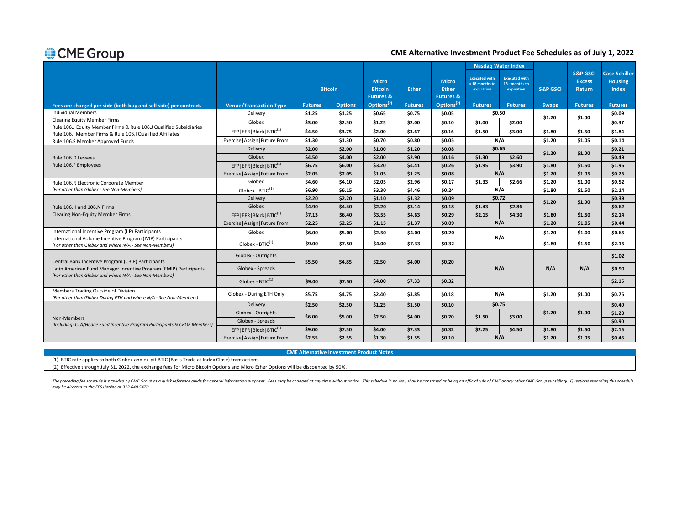### **CME Alternative Investment Product Fee Schedules as of July 1, 2022**

|                                                                                                                              |                                         |                |                |                        |                |                        | <b>Nasdag Water Index</b>              |                                       |                     | <b>S&amp;P GSCI</b> | <b>Case Schiller</b> |
|------------------------------------------------------------------------------------------------------------------------------|-----------------------------------------|----------------|----------------|------------------------|----------------|------------------------|----------------------------------------|---------------------------------------|---------------------|---------------------|----------------------|
|                                                                                                                              |                                         |                |                | <b>Micro</b>           |                | <b>Micro</b>           | <b>Executed with</b><br>< 18 months to | <b>Executed with</b><br>18+ months to |                     | <b>Excess</b>       | <b>Housing</b>       |
|                                                                                                                              |                                         | <b>Bitcoin</b> |                | <b>Bitcoin</b>         | <b>Ether</b>   | <b>Ether</b>           | expiration                             | expiration                            | <b>S&amp;P GSCI</b> | <b>Return</b>       | <b>Index</b>         |
|                                                                                                                              |                                         |                |                | <b>Futures &amp;</b>   |                | <b>Futures &amp;</b>   |                                        |                                       |                     |                     |                      |
| Fees are charged per side (both buy and sell side) per contract.<br><b>Individual Members</b>                                | <b>Venue/Transaction Type</b>           | <b>Futures</b> | <b>Options</b> | Options <sup>(2)</sup> | <b>Futures</b> | Options <sup>(2)</sup> | <b>Futures</b><br>\$0.50               | <b>Futures</b>                        | <b>Swaps</b>        | <b>Futures</b>      | <b>Futures</b>       |
| <b>Clearing Equity Member Firms</b>                                                                                          | Delivery                                | \$1.25         | \$1.25         | \$0.65                 | \$0.75         | \$0.05                 |                                        |                                       | \$1.20              | \$1.00              | \$0.09               |
| Rule 106.J Equity Member Firms & Rule 106.J Qualified Subsidiaries                                                           | Globex                                  | \$3.00         | \$2.50         | \$1.25                 | \$2.00         | \$0.10                 | \$1.00                                 | \$2.00                                |                     |                     | \$0.37               |
| Rule 106.I Member Firms & Rule 106.I Qualified Affiliates                                                                    | EFP   EFR   Block   BTIC <sup>(1)</sup> | \$4.50         | \$3.75         | \$2.00                 | \$3.67         | \$0.16                 | \$1.50                                 | \$3.00                                | \$1.80              | \$1.50              | \$1.84               |
| Rule 106.S Member Approved Funds                                                                                             | Exercise   Assign   Future From         | \$1.30         | \$1.30         | \$0.70                 | \$0.80         | \$0.05                 | N/A                                    |                                       | \$1.20              | \$1.05              | \$0.14               |
|                                                                                                                              | Delivery                                | \$2.00         | \$2.00         | \$1.00                 | \$1.20         | \$0.08\$               | \$0.65                                 |                                       | \$1.20              | \$1.00              | \$0.21               |
| Rule 106.D Lessees                                                                                                           | Globex                                  | \$4.50         | \$4.00         | \$2.00                 | \$2.90         | \$0.16                 | \$1.30                                 | \$2.60                                |                     |                     | \$0.49               |
| Rule 106.F Employees                                                                                                         | EFP EFR Block BTIC <sup>(1)</sup>       | \$6.75         | \$6.00         | \$3.20                 | \$4.41         | \$0.26                 | \$1.95                                 | \$3.90                                | \$1.80              | \$1.50              | \$1.96               |
|                                                                                                                              | Exercise   Assign   Future From         | \$2.05         | \$2.05         | \$1.05                 | \$1.25         | \$0.08\$               |                                        | N/A                                   | \$1.20              | \$1.05              | \$0.26               |
| Rule 106.R Electronic Corporate Member                                                                                       | Globex                                  | \$4.60         | \$4.10         | \$2.05                 | \$2.96         | \$0.17                 | \$1.33                                 | \$2.66                                | \$1.20              | \$1.00              | \$0.52               |
| (For other than Globex - See Non-Members)                                                                                    | Globex - BTIC $(1)$                     | \$6.90         | \$6.15         | \$3.30                 | \$4.46         | \$0.24                 |                                        | N/A                                   | \$1.80              | \$1.50              | \$2.14               |
|                                                                                                                              | Delivery                                | \$2.20         | \$2.20         | \$1.10                 | \$1.32         | \$0.09                 | \$0.72                                 |                                       | \$1.20              | \$1.00              | \$0.39               |
| Rule 106.H and 106.N Firms                                                                                                   | Globex                                  | \$4.90         | \$4.40         | \$2.20                 | \$3.14         | \$0.18                 | \$1.43                                 | \$2.86                                |                     |                     | \$0.62               |
| <b>Clearing Non-Equity Member Firms</b>                                                                                      | EFP EFR Block BTIC(1)                   | \$7.13         | \$6.40         | \$3.55                 | \$4.63         | \$0.29                 | \$2.15                                 | \$4.30                                | \$1.80              | \$1.50              | \$2.14               |
|                                                                                                                              | Exercise   Assign   Future From         | \$2.25         | \$2.25         | \$1.15                 | \$1.37         | \$0.09                 |                                        | N/A                                   | \$1.20              | \$1.05              | \$0.44               |
| International Incentive Program (IIP) Participants<br>International Volume Incentive Program (IVIP) Participants             | Globex                                  | \$6.00         | \$5.00         | \$2.50                 | \$4.00         | \$0.20                 |                                        | N/A                                   | \$1.20              | \$1.00              | \$0.65               |
| (For other than Globex and where N/A - See Non-Members)                                                                      | Globex - $BTIC^{(1)}$                   | \$9.00         | \$7.50         | \$4.00                 | \$7.33         | \$0.32                 |                                        |                                       | \$1.80              | \$1.50              | \$2.15               |
| Central Bank Incentive Program (CBIP) Participants                                                                           | Globex - Outrights                      | \$5.50         | \$4.85         | \$2.50                 | \$4.00         | \$0.20                 |                                        |                                       |                     |                     | \$1.02               |
| Latin American Fund Manager Incentive Program (FMIP) Participants<br>(For other than Globex and where N/A - See Non-Members) | Globex - Spreads                        |                |                |                        |                |                        |                                        | N/A                                   | N/A                 | N/A                 | \$0.90               |
|                                                                                                                              | Globex - $BTIC^{(1)}$                   | \$9.00         | \$7.50         | \$4.00                 | \$7.33         | \$0.32                 |                                        |                                       |                     |                     | \$2.15               |
| Members Trading Outside of Division<br>(For other than Globex During ETH and where N/A - See Non-Members)                    | Globex - During ETH Only                | \$5.75         | \$4.75         | \$2.40                 | \$3.85         | \$0.18                 |                                        | N/A                                   | \$1.20              | \$1.00              | \$0.76               |
|                                                                                                                              | Delivery                                | \$2.50         | \$2.50         | \$1.25                 | \$1.50         | \$0.10                 | \$0.75                                 |                                       |                     |                     | \$0.40               |
|                                                                                                                              | Globex - Outrights                      | \$6.00         |                |                        |                |                        | \$1.50                                 | \$3.00                                | \$1.20              | \$1.00              | \$1.28               |
| Non-Members<br>(Including: CTA/Hedge Fund Incentive Program Participants & CBOE Members)                                     | Globex - Spreads                        |                | \$5.00         | \$2.50                 | \$4.00         | \$0.20                 |                                        |                                       |                     |                     | \$0.90               |
|                                                                                                                              | EFP EFR Block BTIC(1)                   | \$9.00         | \$7.50         | \$4.00                 | \$7.33         | \$0.32                 | \$2.25                                 | \$4.50                                | \$1.80              | \$1.50              | \$2.15               |
|                                                                                                                              | Exercise   Assign   Future From         | \$2.55         | \$2.55         | \$1.30                 | \$1.55         | \$0.10                 |                                        | N/A                                   | \$1.20              | \$1.05              | \$0.45               |

**CME Alternative Investment Product Notes**

(1) BTIC rate applies to both Globex and ex-pit BTIC (Basis Trade at Index Close) transactions.

(2) Effective through July 31, 2022, the exchange fees for Micro Bitcoin Options and Micro Ether Options will be discounted by 50%.

The preceding fee schedule is provided by CME Group as a quick reference guide for general information purposes. Fees may be changed at any time without notice. This schedule in no way shall be construed as being an offici *may be directed to the EFS Hotline at 312.648.5470.*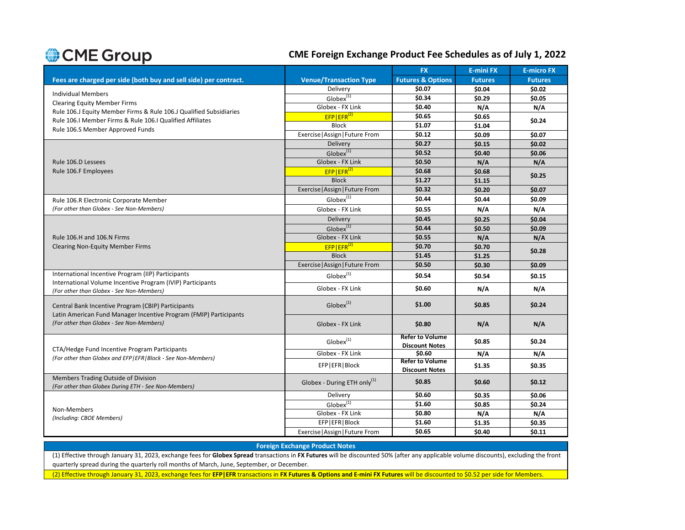### **CME Foreign Exchange Product Fee Schedules as of July 1, 2022**

|                                                                                                                         |                                         | <b>FX</b>                                       | <b>E-mini FX</b> | <b>E-micro FX</b> |  |  |
|-------------------------------------------------------------------------------------------------------------------------|-----------------------------------------|-------------------------------------------------|------------------|-------------------|--|--|
| Fees are charged per side (both buy and sell side) per contract.                                                        | <b>Venue/Transaction Type</b>           | <b>Futures &amp; Options</b>                    | <b>Futures</b>   | <b>Futures</b>    |  |  |
|                                                                                                                         | Delivery                                | \$0.07                                          | \$0.04           | \$0.02            |  |  |
| <b>Individual Members</b>                                                                                               | $Globex^{(1)}$                          | \$0.34                                          | \$0.29           | \$0.05            |  |  |
| <b>Clearing Equity Member Firms</b><br>Rule 106.J Equity Member Firms & Rule 106.J Qualified Subsidiaries               | Globex - FX Link                        | \$0.40                                          | N/A              | N/A               |  |  |
| Rule 106.I Member Firms & Rule 106.I Qualified Affiliates                                                               | $EFP EFR^{(2)}$                         | \$0.65                                          | \$0.65           | \$0.24            |  |  |
| Rule 106.S Member Approved Funds                                                                                        | <b>Block</b>                            | \$1.07                                          | \$1.04           |                   |  |  |
|                                                                                                                         | Exercise   Assign   Future From         | \$0.12                                          | \$0.09           | \$0.07            |  |  |
|                                                                                                                         | Delivery                                | \$0.27                                          | \$0.15           | \$0.02            |  |  |
|                                                                                                                         | $Globex^{(1)}$                          | \$0.52                                          | \$0.40           | \$0.06            |  |  |
| Rule 106.D Lessees                                                                                                      | Globex - FX Link                        | \$0.50                                          | N/A              | N/A               |  |  |
| Rule 106.F Employees                                                                                                    | $EFP EFR^{(2)}$                         | \$0.68                                          | \$0.68           | \$0.25            |  |  |
|                                                                                                                         | <b>Block</b>                            | \$1.27                                          | \$1.15           |                   |  |  |
|                                                                                                                         | Exercise   Assign   Future From         | \$0.32                                          | \$0.20           | \$0.07            |  |  |
| Rule 106.R Electronic Corporate Member                                                                                  | $Globex^{(1)}$                          | \$0.44                                          | \$0.44           | \$0.09            |  |  |
| (For other than Globex - See Non-Members)                                                                               | Globex - FX Link                        | \$0.55                                          | N/A              | N/A               |  |  |
|                                                                                                                         | Delivery                                | \$0.45                                          | \$0.25           | \$0.04            |  |  |
|                                                                                                                         | Globex <sup>(1)</sup>                   | \$0.44                                          | \$0.50           | \$0.09            |  |  |
| Rule 106.H and 106.N Firms                                                                                              | Globex - FX Link                        | \$0.55                                          | N/A              | N/A               |  |  |
| <b>Clearing Non-Equity Member Firms</b>                                                                                 | $EFP EFR^{(2)}$                         | \$0.70                                          | \$0.70           |                   |  |  |
|                                                                                                                         | <b>Block</b>                            | \$1.45                                          | \$1.25           | \$0.28            |  |  |
|                                                                                                                         | Exercise   Assign   Future From         | \$0.50                                          | \$0.30           | \$0.09            |  |  |
| International Incentive Program (IIP) Participants                                                                      | $Globex^{(1)}$                          | \$0.54                                          | \$0.54           | \$0.15            |  |  |
| International Volume Incentive Program (IVIP) Participants<br>(For other than Globex - See Non-Members)                 | Globex - FX Link                        | \$0.60                                          | N/A              | N/A               |  |  |
| Central Bank Incentive Program (CBIP) Participants<br>Latin American Fund Manager Incentive Program (FMIP) Participants | Globex <sup>(1)</sup>                   | \$1.00                                          | \$0.85           | \$0.24            |  |  |
| (For other than Globex - See Non-Members)                                                                               | Globex - FX Link                        | \$0.80                                          | N/A              | N/A               |  |  |
| CTA/Hedge Fund Incentive Program Participants                                                                           | $Globex^{(1)}$                          | <b>Refer to Volume</b><br><b>Discount Notes</b> | \$0.85           | \$0.24            |  |  |
| (For other than Globex and EFP EFR Block - See Non-Members)                                                             | Globex - FX Link                        | \$0.60                                          | N/A              | N/A               |  |  |
|                                                                                                                         | EFP EFR Block                           | <b>Refer to Volume</b><br><b>Discount Notes</b> | \$1.35           | \$0.35            |  |  |
| Members Trading Outside of Division<br>(For other than Globex During ETH - See Non-Members)                             | Globex - During ETH only <sup>(1)</sup> | \$0.85                                          | \$0.60           | \$0.12            |  |  |
|                                                                                                                         | Delivery                                | \$0.60                                          | \$0.35           | \$0.06            |  |  |
| Non-Members                                                                                                             | $Globex^{(1)}$                          | \$1.60                                          | \$0.85           | \$0.24            |  |  |
| (Including: CBOE Members)                                                                                               | Globex - FX Link                        | \$0.80                                          | N/A              | N/A               |  |  |
|                                                                                                                         | EFP EFR Block                           | \$1.60                                          | \$1.35           | \$0.35            |  |  |
|                                                                                                                         | Exercise   Assign   Future From         | \$0.65                                          | \$0.40           | \$0.11            |  |  |
|                                                                                                                         |                                         |                                                 |                  |                   |  |  |

#### **Foreign Exchange Product Notes**

(1) Effective through January 31, 2023, exchange fees for **Globex Spread** transactions in **FX Futures** will be discounted 50% (after any applicable volume discounts), excluding the front quarterly spread during the quarterly roll months of March, June, September, or December.

(2) Effective through January 31, 2023, exchange fees for **EFP|EFR** transactions in **FX Futures & Options and E-mini FX Futures** will be discounted to \$0.52 per side for Members.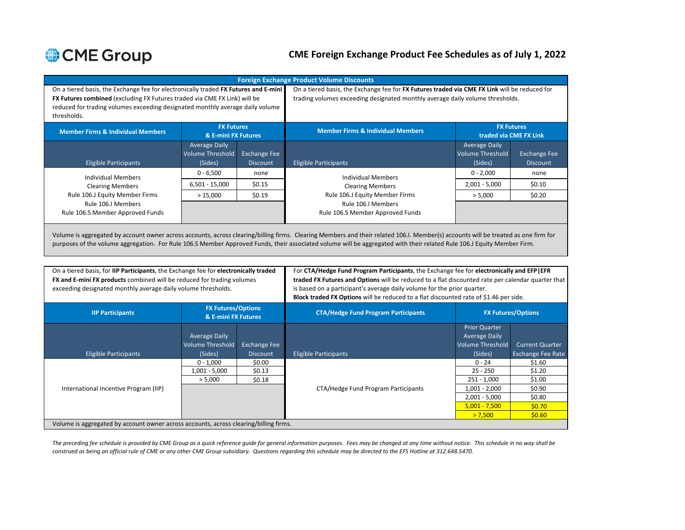### **CME Foreign Exchange Product Fee Schedules as of July 1, 2022**

| On a tiered basis, the Exchange fee for electronically traded FX Futures and E-mini<br>FX Futures combined (excluding FX Futures traded via CME FX Link) will be<br>reduced for trading volumes exceeding designated monthly average daily volume<br>thresholds. |                                                            |                                        | On a tiered basis, the Exchange fee for FX Futures traded via CME FX Link will be reduced for<br>trading volumes exceeding designated monthly average daily volume thresholds. |                                                            |                                             |  |  |  |
|------------------------------------------------------------------------------------------------------------------------------------------------------------------------------------------------------------------------------------------------------------------|------------------------------------------------------------|----------------------------------------|--------------------------------------------------------------------------------------------------------------------------------------------------------------------------------|------------------------------------------------------------|---------------------------------------------|--|--|--|
| <b>Member Firms &amp; Individual Members</b>                                                                                                                                                                                                                     | <b>FX Futures</b><br>& E-mini FX Futures                   |                                        | <b>Member Firms &amp; Individual Members</b>                                                                                                                                   |                                                            | <b>FX Futures</b><br>traded via CME FX Link |  |  |  |
| <b>Eligible Participants</b>                                                                                                                                                                                                                                     | <b>Average Daily</b><br><b>Volume Threshold</b><br>(Sides) | <b>Exchange Fee</b><br><b>Discount</b> | <b>Eligible Participants</b>                                                                                                                                                   | <b>Average Daily</b><br><b>Volume Threshold</b><br>(Sides) | <b>Exchange Fee</b><br><b>Discount</b>      |  |  |  |
| <b>Individual Members</b>                                                                                                                                                                                                                                        | $0 - 6,500$                                                | none                                   | <b>Individual Members</b>                                                                                                                                                      | $0 - 2,000$                                                | none                                        |  |  |  |
| <b>Clearing Members</b>                                                                                                                                                                                                                                          | $6,501 - 15,000$                                           | \$0.15                                 | <b>Clearing Members</b>                                                                                                                                                        | $2,001 - 5,000$                                            | \$0.10                                      |  |  |  |
| Rule 106.J Equity Member Firms<br>Rule 106.I Members<br>Rule 106.S Member Approved Funds                                                                                                                                                                         | >15,000                                                    | \$0.19                                 | Rule 106.J Equity Member Firms<br>Rule 106.I Members<br>Rule 106.S Member Approved Funds                                                                                       | > 5,000                                                    | \$0.20                                      |  |  |  |
|                                                                                                                                                                                                                                                                  |                                                            |                                        |                                                                                                                                                                                |                                                            |                                             |  |  |  |

Volume is aggregated by account owner across accounts, across clearing/billing firms. Clearing Members and their related 106.I. Member(s) accounts will be treated as one firm for purposes of the volume aggregation. For Rule 106.S Member Approved Funds, their associated volume will be aggregated with their related Rule 106.J Equity Member Firm.

| On a tiered basis, for IIP Participants, the Exchange fee for electronically traded<br><b>FX and E-mini FX products</b> combined will be reduced for trading volumes<br>exceeding designated monthly average daily volume thresholds. |                                                  |                     | For CTA/Hedge Fund Program Participants, the Exchange fee for electronically and EFP EFR<br>traded FX Futures and Options will be reduced to a flat discounted rate per calendar quarter that<br>is based on a participant's average daily volume for the prior quarter.<br>Block traded FX Options will be reduced to a flat discounted rate of \$1.46 per side. |                           |                          |  |  |
|---------------------------------------------------------------------------------------------------------------------------------------------------------------------------------------------------------------------------------------|--------------------------------------------------|---------------------|-------------------------------------------------------------------------------------------------------------------------------------------------------------------------------------------------------------------------------------------------------------------------------------------------------------------------------------------------------------------|---------------------------|--------------------------|--|--|
| <b>IIP Participants</b>                                                                                                                                                                                                               | <b>FX Futures/Options</b><br>& E-mini FX Futures |                     | <b>CTA/Hedge Fund Program Participants</b>                                                                                                                                                                                                                                                                                                                        | <b>FX Futures/Options</b> |                          |  |  |
|                                                                                                                                                                                                                                       |                                                  |                     |                                                                                                                                                                                                                                                                                                                                                                   | <b>Prior Quarter</b>      |                          |  |  |
|                                                                                                                                                                                                                                       | <b>Average Daily</b>                             |                     |                                                                                                                                                                                                                                                                                                                                                                   | <b>Average Daily</b>      |                          |  |  |
|                                                                                                                                                                                                                                       | <b>Volume Threshold</b>                          | <b>Exchange Fee</b> |                                                                                                                                                                                                                                                                                                                                                                   | Volume Threshold          | <b>Current Quarter</b>   |  |  |
| <b>Eligible Participants</b>                                                                                                                                                                                                          | (Sides)                                          | <b>Discount</b>     | Eligible Participants                                                                                                                                                                                                                                                                                                                                             | (Sides)                   | <b>Exchange Fee Rate</b> |  |  |
|                                                                                                                                                                                                                                       | $0 - 1,000$                                      | \$0.00              |                                                                                                                                                                                                                                                                                                                                                                   | $0 - 24$                  | \$1.60                   |  |  |
|                                                                                                                                                                                                                                       | $1,001 - 5,000$                                  | \$0.13              |                                                                                                                                                                                                                                                                                                                                                                   | 25 - 250                  | \$1.20                   |  |  |
|                                                                                                                                                                                                                                       | > 5,000                                          | \$0.18              |                                                                                                                                                                                                                                                                                                                                                                   | $251 - 1,000$             | \$1.00                   |  |  |
| International Incentive Program (IIP)                                                                                                                                                                                                 |                                                  |                     | CTA/Hedge Fund Program Participants                                                                                                                                                                                                                                                                                                                               | $1,001 - 2,000$           | \$0.90                   |  |  |
|                                                                                                                                                                                                                                       |                                                  |                     |                                                                                                                                                                                                                                                                                                                                                                   | $2,001 - 5,000$           | \$0.80                   |  |  |
|                                                                                                                                                                                                                                       |                                                  |                     |                                                                                                                                                                                                                                                                                                                                                                   | $5,001 - 7,500$           | \$0.70                   |  |  |
|                                                                                                                                                                                                                                       |                                                  |                     |                                                                                                                                                                                                                                                                                                                                                                   | > 7,500                   | \$0.60                   |  |  |
| Volume is aggregated by account owner across accounts, across clearing/billing firms.                                                                                                                                                 |                                                  |                     |                                                                                                                                                                                                                                                                                                                                                                   |                           |                          |  |  |

*The preceding fee schedule is provided by CME Group as a quick reference guide for general information purposes. Fees may be changed at any time without notice. This schedule in no way shall be construed as being an official rule of CME or any other CME Group subsidiary. Questions regarding this schedule may be directed to the EFS Hotline at 312.648.5470.*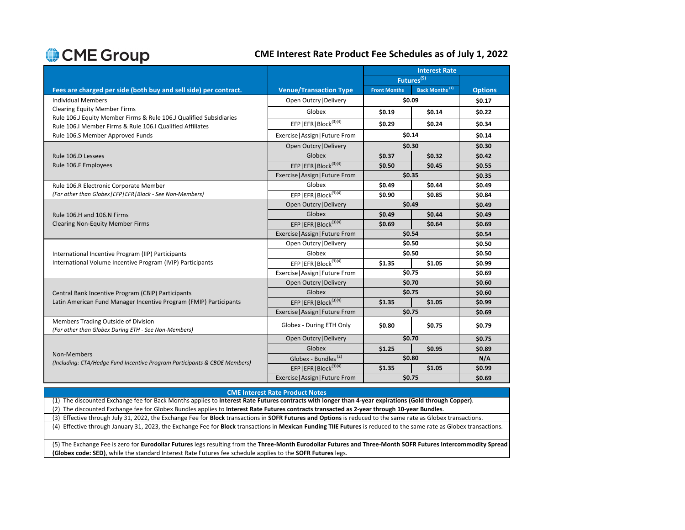### **CME Interest Rate Product Fee Schedules as of July 1, 2022**

|                                                                                                                                 |                                     | <b>Interest Rate</b> |                            |                |  |
|---------------------------------------------------------------------------------------------------------------------------------|-------------------------------------|----------------------|----------------------------|----------------|--|
|                                                                                                                                 |                                     |                      | Futures <sup>(5)</sup>     |                |  |
| Fees are charged per side (both buy and sell side) per contract.                                                                | <b>Venue/Transaction Type</b>       | <b>Front Months</b>  | Back Months <sup>(1)</sup> | <b>Options</b> |  |
| <b>Individual Members</b>                                                                                                       | Open Outcry   Delivery              | \$0.09               |                            | \$0.17         |  |
| <b>Clearing Equity Member Firms</b>                                                                                             | Globex                              | \$0.19               | \$0.14                     | \$0.22         |  |
| Rule 106.J Equity Member Firms & Rule 106.J Qualified Subsidiaries<br>Rule 106.I Member Firms & Rule 106.I Qualified Affiliates | EFP   EFR   Block <sup>(3)(4)</sup> | \$0.29               | \$0.24                     | \$0.34         |  |
| Rule 106.S Member Approved Funds                                                                                                | Exercise   Assign   Future From     | \$0.14               |                            | \$0.14         |  |
|                                                                                                                                 | Open Outcry   Delivery              |                      | \$0.30                     | \$0.30         |  |
| Rule 106.D Lessees                                                                                                              | Globex                              | \$0.37               | \$0.32                     | \$0.42         |  |
| Rule 106.F Employees                                                                                                            | EFP   EFR   Block <sup>(3)(4)</sup> | \$0.50               | \$0.45                     | \$0.55         |  |
|                                                                                                                                 | Exercise   Assign   Future From     | \$0.35               |                            | \$0.35         |  |
| Rule 106.R Electronic Corporate Member                                                                                          | Globex                              | \$0.49               | \$0.44                     | \$0.49         |  |
| (For other than Globex   EFP   EFR   Block - See Non-Members)                                                                   | EFP   EFR   Block $^{(3)(4)}$       | \$0.90               | \$0.85                     | \$0.84         |  |
|                                                                                                                                 | Open Outcry   Delivery              | \$0.49               |                            | \$0.49         |  |
| Rule 106.H and 106.N Firms                                                                                                      | Globex                              | \$0.49               | \$0.44                     | \$0.49         |  |
| <b>Clearing Non-Equity Member Firms</b>                                                                                         | EFP   EFR   Block <sup>(3)(4)</sup> | \$0.69               | \$0.64                     | \$0.69         |  |
|                                                                                                                                 | Exercise   Assign   Future From     | \$0.54               |                            | \$0.54         |  |
|                                                                                                                                 | Open Outcry   Delivery              | \$0.50               |                            | \$0.50         |  |
| International Incentive Program (IIP) Participants                                                                              | Globex                              | \$0.50               |                            | \$0.50         |  |
| International Volume Incentive Program (IVIP) Participants                                                                      | EFP   EFR   Block <sup>(3)(4)</sup> | \$1.35               | \$1.05                     | \$0.99         |  |
|                                                                                                                                 | Exercise   Assign   Future From     | \$0.75               |                            | \$0.69         |  |
|                                                                                                                                 | Open Outcry   Delivery              | \$0.70               |                            | \$0.60         |  |
| Central Bank Incentive Program (CBIP) Participants                                                                              | Globex                              | \$0.75               |                            | \$0.60         |  |
| Latin American Fund Manager Incentive Program (FMIP) Participants                                                               | EFP   EFR   Block <sup>(3)(4)</sup> | \$1.35               | \$1.05                     | \$0.99         |  |
|                                                                                                                                 | Exercise   Assign   Future From     | \$0.75               |                            | \$0.69         |  |
| Members Trading Outside of Division<br>(For other than Globex During ETH - See Non-Members)                                     | Globex - During ETH Only            | \$0.80               | \$0.75                     | \$0.79         |  |
|                                                                                                                                 | Open Outcry   Delivery              | \$0.70               |                            | \$0.75         |  |
|                                                                                                                                 | Globex                              | \$1.25               | \$0.95                     | \$0.89         |  |
| Non-Members<br>(Including: CTA/Hedge Fund Incentive Program Participants & CBOE Members)                                        | Globex - Bundles <sup>(2)</sup>     | \$0.80               |                            | N/A            |  |
|                                                                                                                                 | EFP   EFR   Block <sup>(3)(4)</sup> | \$1.35               | \$1.05                     | \$0.99         |  |
|                                                                                                                                 | Exercise   Assign   Future From     | \$0.75               |                            | \$0.69         |  |

| <b>CME Interest Rate Product Notes</b>                                                                                                                              |
|---------------------------------------------------------------------------------------------------------------------------------------------------------------------|
| (1) The discounted Exchange fee for Back Months applies to Interest Rate Futures contracts with longer than 4-year expirations (Gold through Copper).               |
| (2) The discounted Exchange fee for Globex Bundles applies to Interest Rate Futures contracts transacted as 2-year through 10-year Bundles.                         |
| (3) Effective through July 31, 2022, the Exchange Fee for Block transactions in SOFR Futures and Options is reduced to the same rate as Globex transactions.        |
| (4) Effective through January 31, 2023, the Exchange Fee for Block transactions in Mexican Funding TIIE Futures is reduced to the same rate as Globex transactions. |
|                                                                                                                                                                     |
| $\sim$<br>.  .<br>$\cdots$<br>.<br>.<br>$ -$<br>-----------                                                                                                         |

(5) The Exchange Fee is zero for **Eurodollar Futures** legs resulting from the **Three-Month Eurodollar Futures and Three-Month SOFR Futures Intercommodity Spread (Globex code: SED)**, while the standard Interest Rate Futures fee schedule applies to the **SOFR Futures** legs.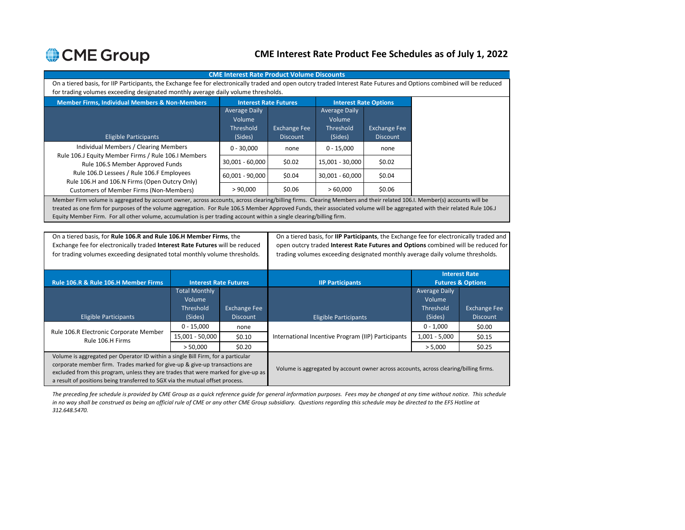### **CME Interest Rate Product Fee Schedules as of July 1, 2022**

|                                                                                                                                                                            |                                                                                                                      |                                        |                                                                                       |                                                    |                                        |                      | <b>CME Interest Rate Product Volume Discounts</b>                                       |  |  |  |  |  |  |  |  |  |  |
|----------------------------------------------------------------------------------------------------------------------------------------------------------------------------|----------------------------------------------------------------------------------------------------------------------|----------------------------------------|---------------------------------------------------------------------------------------|----------------------------------------------------|----------------------------------------|----------------------|-----------------------------------------------------------------------------------------|--|--|--|--|--|--|--|--|--|--|
| On a tiered basis, for IIP Participants, the Exchange fee for electronically traded and open outcry traded Interest Rate Futures and Options combined will be reduced      |                                                                                                                      |                                        |                                                                                       |                                                    |                                        |                      |                                                                                         |  |  |  |  |  |  |  |  |  |  |
| for trading volumes exceeding designated monthly average daily volume thresholds.                                                                                          |                                                                                                                      |                                        |                                                                                       |                                                    |                                        |                      |                                                                                         |  |  |  |  |  |  |  |  |  |  |
| <b>Member Firms, Individual Members &amp; Non-Members</b>                                                                                                                  |                                                                                                                      | <b>Interest Rate Futures</b>           |                                                                                       | <b>Interest Rate Options</b>                       |                                        |                      |                                                                                         |  |  |  |  |  |  |  |  |  |  |
|                                                                                                                                                                            |                                                                                                                      | <b>Average Daily</b>                   |                                                                                       | <b>Average Daily</b>                               |                                        |                      |                                                                                         |  |  |  |  |  |  |  |  |  |  |
|                                                                                                                                                                            |                                                                                                                      | Volume                                 |                                                                                       | Volume                                             |                                        |                      |                                                                                         |  |  |  |  |  |  |  |  |  |  |
|                                                                                                                                                                            |                                                                                                                      | Threshold<br>(Sides)                   | <b>Exchange Fee</b><br><b>Discount</b>                                                | Threshold<br>(Sides)                               | <b>Exchange Fee</b><br><b>Discount</b> |                      |                                                                                         |  |  |  |  |  |  |  |  |  |  |
| <b>Eligible Participants</b><br>Individual Members / Clearing Members                                                                                                      |                                                                                                                      |                                        |                                                                                       |                                                    |                                        |                      |                                                                                         |  |  |  |  |  |  |  |  |  |  |
| Rule 106.J Equity Member Firms / Rule 106.I Members                                                                                                                        |                                                                                                                      | $0 - 30.000$                           | none                                                                                  | $0 - 15.000$                                       | none                                   |                      |                                                                                         |  |  |  |  |  |  |  |  |  |  |
| Rule 106.S Member Approved Funds                                                                                                                                           |                                                                                                                      | 30,001 - 60,000                        | \$0.02                                                                                | 15,001 - 30,000                                    | \$0.02                                 |                      |                                                                                         |  |  |  |  |  |  |  |  |  |  |
| Rule 106.D Lessees / Rule 106.F Employees                                                                                                                                  |                                                                                                                      | 60,001 - 90,000                        | \$0.04                                                                                | 30,001 - 60,000                                    | \$0.04                                 |                      |                                                                                         |  |  |  |  |  |  |  |  |  |  |
| Rule 106.H and 106.N Firms (Open Outcry Only)<br><b>Customers of Member Firms (Non-Members)</b>                                                                            |                                                                                                                      | > 90,000                               | \$0.06                                                                                | >60,000                                            | \$0.06                                 |                      |                                                                                         |  |  |  |  |  |  |  |  |  |  |
| Member Firm volume is aggregated by account owner, across accounts, across clearing/billing firms. Clearing Members and their related 106.I. Member(s) accounts will be    |                                                                                                                      |                                        |                                                                                       |                                                    |                                        |                      |                                                                                         |  |  |  |  |  |  |  |  |  |  |
| treated as one firm for purposes of the volume aggregation. For Rule 106.S Member Approved Funds, their associated volume will be aggregated with their related Rule 106.J |                                                                                                                      |                                        |                                                                                       |                                                    |                                        |                      |                                                                                         |  |  |  |  |  |  |  |  |  |  |
|                                                                                                                                                                            | Equity Member Firm. For all other volume, accumulation is per trading account within a single clearing/billing firm. |                                        |                                                                                       |                                                    |                                        |                      |                                                                                         |  |  |  |  |  |  |  |  |  |  |
|                                                                                                                                                                            |                                                                                                                      |                                        |                                                                                       |                                                    |                                        |                      |                                                                                         |  |  |  |  |  |  |  |  |  |  |
| On a tiered basis, for Rule 106.R and Rule 106.H Member Firms, the                                                                                                         |                                                                                                                      |                                        |                                                                                       |                                                    |                                        |                      | On a tiered basis, for IIP Participants, the Exchange fee for electronically traded and |  |  |  |  |  |  |  |  |  |  |
| Exchange fee for electronically traded Interest Rate Futures will be reduced                                                                                               |                                                                                                                      |                                        |                                                                                       |                                                    |                                        |                      | open outcry traded Interest Rate Futures and Options combined will be reduced for       |  |  |  |  |  |  |  |  |  |  |
| for trading volumes exceeding designated total monthly volume thresholds.                                                                                                  |                                                                                                                      |                                        | trading volumes exceeding designated monthly average daily volume thresholds.         |                                                    |                                        |                      |                                                                                         |  |  |  |  |  |  |  |  |  |  |
|                                                                                                                                                                            |                                                                                                                      |                                        |                                                                                       |                                                    |                                        |                      |                                                                                         |  |  |  |  |  |  |  |  |  |  |
|                                                                                                                                                                            |                                                                                                                      |                                        |                                                                                       |                                                    |                                        |                      | <b>Interest Rate</b>                                                                    |  |  |  |  |  |  |  |  |  |  |
| Rule 106.R & Rule 106.H Member Firms                                                                                                                                       | <b>Interest Rate Futures</b>                                                                                         |                                        |                                                                                       | <b>IIP Participants</b>                            |                                        |                      | <b>Futures &amp; Options</b>                                                            |  |  |  |  |  |  |  |  |  |  |
|                                                                                                                                                                            | <b>Total Monthly</b>                                                                                                 |                                        |                                                                                       |                                                    |                                        | <b>Average Daily</b> |                                                                                         |  |  |  |  |  |  |  |  |  |  |
|                                                                                                                                                                            | Volume                                                                                                               |                                        |                                                                                       |                                                    |                                        | Volume               |                                                                                         |  |  |  |  |  |  |  |  |  |  |
|                                                                                                                                                                            | Threshold<br>(Sides)                                                                                                 | <b>Exchange Fee</b><br><b>Discount</b> |                                                                                       |                                                    |                                        | Threshold<br>(Sides) | <b>Exchange Fee</b><br><b>Discount</b>                                                  |  |  |  |  |  |  |  |  |  |  |
| <b>Eligible Participants</b>                                                                                                                                               |                                                                                                                      |                                        |                                                                                       | <b>Eligible Participants</b>                       |                                        | $0 - 1,000$          | \$0.00                                                                                  |  |  |  |  |  |  |  |  |  |  |
| Rule 106.R Electronic Corporate Member                                                                                                                                     | $0 - 15,000$                                                                                                         | none                                   |                                                                                       |                                                    |                                        |                      |                                                                                         |  |  |  |  |  |  |  |  |  |  |
| Rule 106.H Firms                                                                                                                                                           | 15,001 - 50,000                                                                                                      | \$0.10                                 |                                                                                       | International Incentive Program (IIP) Participants |                                        | $1,001 - 5,000$      | \$0.15                                                                                  |  |  |  |  |  |  |  |  |  |  |
|                                                                                                                                                                            | > 50.000                                                                                                             | \$0.20                                 |                                                                                       |                                                    |                                        | > 5,000              | \$0.25                                                                                  |  |  |  |  |  |  |  |  |  |  |
| Volume is aggregated per Operator ID within a single Bill Firm, for a particular<br>corporate member firm. Trades marked for give-up & give-up transactions are            |                                                                                                                      |                                        |                                                                                       |                                                    |                                        |                      |                                                                                         |  |  |  |  |  |  |  |  |  |  |
| excluded from this program, unless they are trades that were marked for give-up as                                                                                         |                                                                                                                      |                                        | Volume is aggregated by account owner across accounts, across clearing/billing firms. |                                                    |                                        |                      |                                                                                         |  |  |  |  |  |  |  |  |  |  |
| a result of positions being transferred to SGX via the mutual offset process.                                                                                              |                                                                                                                      |                                        |                                                                                       |                                                    |                                        |                      |                                                                                         |  |  |  |  |  |  |  |  |  |  |
|                                                                                                                                                                            |                                                                                                                      |                                        |                                                                                       |                                                    |                                        |                      |                                                                                         |  |  |  |  |  |  |  |  |  |  |

*The preceding fee schedule is provided by CME Group as a quick reference guide for general information purposes. Fees may be changed at any time without notice. This schedule in no way shall be construed as being an official rule of CME or any other CME Group subsidiary. Questions regarding this schedule may be directed to the EFS Hotline at 312.648.5470.*